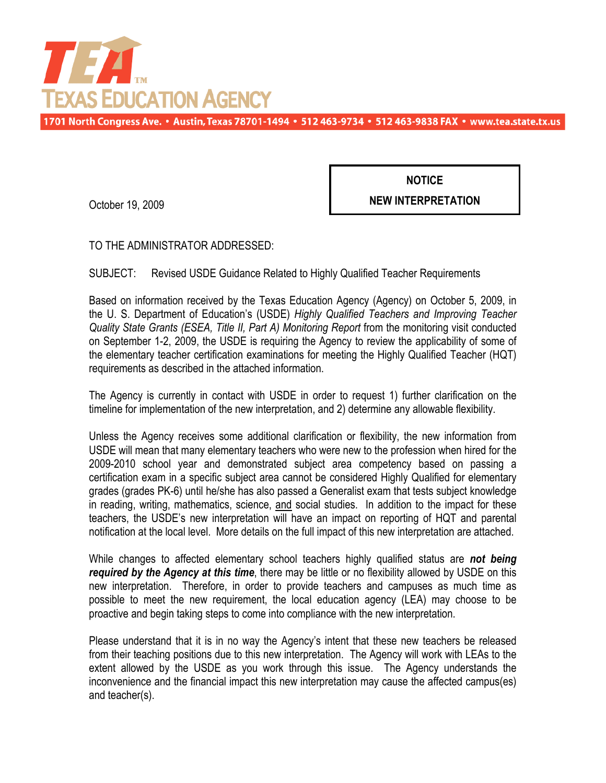

1701 North Congress Ave. • Austin, Texas 78701-1494 • 512 463-9734 • 512 463-9838 FAX • www.tea.state.tx.us

October 19, 2009

**NOTICE NEW INTERPRETATION**

TO THE ADMINISTRATOR ADDRESSED:

SUBJECT: Revised USDE Guidance Related to Highly Qualified Teacher Requirements

Based on information received by the Texas Education Agency (Agency) on October 5, 2009, in the U. S. Department of Education's (USDE) *Highly Qualified Teachers and Improving Teacher Quality State Grants (ESEA, Title II, Part A) Monitoring Report* from the monitoring visit conducted on September 1-2, 2009, the USDE is requiring the Agency to review the applicability of some of the elementary teacher certification examinations for meeting the Highly Qualified Teacher (HQT) requirements as described in the attached information.

The Agency is currently in contact with USDE in order to request 1) further clarification on the timeline for implementation of the new interpretation, and 2) determine any allowable flexibility.

Unless the Agency receives some additional clarification or flexibility, the new information from USDE will mean that many elementary teachers who were new to the profession when hired for the 2009-2010 school year and demonstrated subject area competency based on passing a certification exam in a specific subject area cannot be considered Highly Qualified for elementary grades (grades PK-6) until he/she has also passed a Generalist exam that tests subject knowledge in reading, writing, mathematics, science, and social studies. In addition to the impact for these teachers, the USDE's new interpretation will have an impact on reporting of HQT and parental notification at the local level. More details on the full impact of this new interpretation are attached.

While changes to affected elementary school teachers highly qualified status are *not being required by the Agency at this time*, there may be little or no flexibility allowed by USDE on this new interpretation. Therefore, in order to provide teachers and campuses as much time as possible to meet the new requirement, the local education agency (LEA) may choose to be proactive and begin taking steps to come into compliance with the new interpretation.

Please understand that it is in no way the Agency's intent that these new teachers be released from their teaching positions due to this new interpretation. The Agency will work with LEAs to the extent allowed by the USDE as you work through this issue. The Agency understands the inconvenience and the financial impact this new interpretation may cause the affected campus(es) and teacher(s).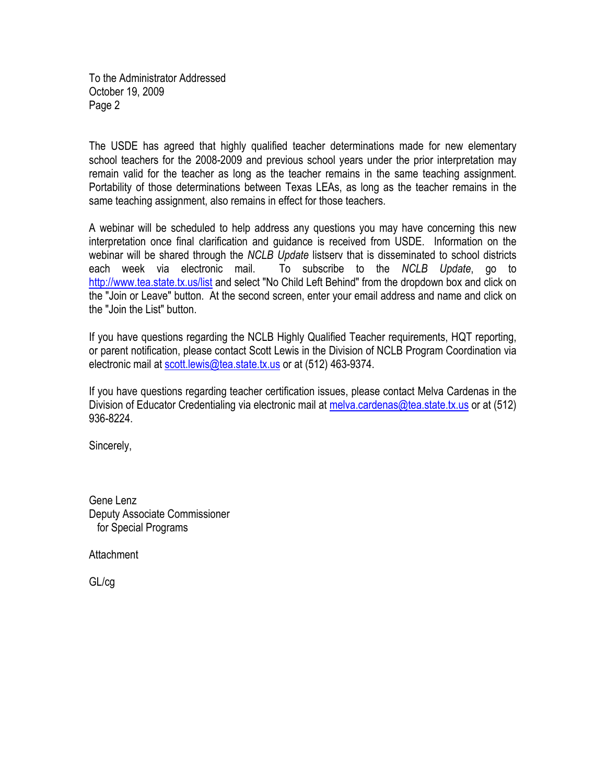To the Administrator Addressed October 19, 2009 Page 2

The USDE has agreed that highly qualified teacher determinations made for new elementary school teachers for the 2008-2009 and previous school years under the prior interpretation may remain valid for the teacher as long as the teacher remains in the same teaching assignment. Portability of those determinations between Texas LEAs, as long as the teacher remains in the same teaching assignment, also remains in effect for those teachers.

A webinar will be scheduled to help address any questions you may have concerning this new interpretation once final clarification and guidance is received from USDE. Information on the webinar will be shared through the *NCLB Update* listserv that is disseminated to school districts each week via electronic mail. To subscribe to the *NCLB Update*, go to http://www.tea.state.tx.us/list and select "No Child Left Behind" from the dropdown box and click on the "Join or Leave" button. At the second screen, enter your email address and name and click on the "Join the List" button.

If you have questions regarding the NCLB Highly Qualified Teacher requirements, HQT reporting, or parent notification, please contact Scott Lewis in the Division of NCLB Program Coordination via electronic mail at scott.lewis@tea.state.tx.us or at (512) 463-9374.

If you have questions regarding teacher certification issues, please contact Melva Cardenas in the Division of Educator Credentialing via electronic mail at melva.cardenas@tea.state.tx.us or at (512) 936-8224.

Sincerely,

Gene Lenz Deputy Associate Commissioner for Special Programs

Attachment

GL/cg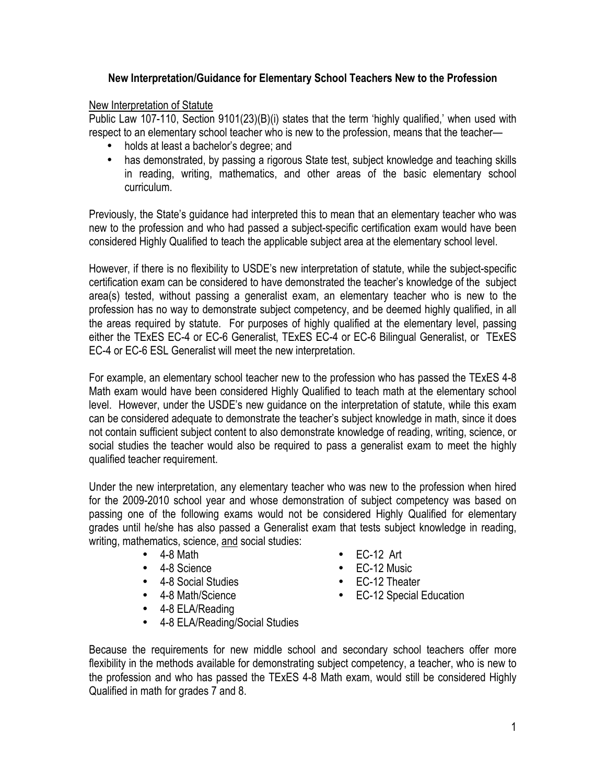# **New Interpretation/Guidance for Elementary School Teachers New to the Profession**

# New Interpretation of Statute

Public Law 107-110, Section 9101(23)(B)(i) states that the term 'highly qualified,' when used with respect to an elementary school teacher who is new to the profession, means that the teacher—

- holds at least a bachelor's degree; and
- has demonstrated, by passing a rigorous State test, subject knowledge and teaching skills in reading, writing, mathematics, and other areas of the basic elementary school curriculum.

Previously, the State's guidance had interpreted this to mean that an elementary teacher who was new to the profession and who had passed a subject-specific certification exam would have been considered Highly Qualified to teach the applicable subject area at the elementary school level.

However, if there is no flexibility to USDE's new interpretation of statute, while the subject-specific certification exam can be considered to have demonstrated the teacher's knowledge of the subject area(s) tested, without passing a generalist exam, an elementary teacher who is new to the profession has no way to demonstrate subject competency, and be deemed highly qualified, in all the areas required by statute. For purposes of highly qualified at the elementary level, passing either the TExES EC-4 or EC-6 Generalist, TExES EC-4 or EC-6 Bilingual Generalist, or TExES EC-4 or EC-6 ESL Generalist will meet the new interpretation.

For example, an elementary school teacher new to the profession who has passed the TExES 4-8 Math exam would have been considered Highly Qualified to teach math at the elementary school level. However, under the USDE's new guidance on the interpretation of statute, while this exam can be considered adequate to demonstrate the teacher's subject knowledge in math, since it does not contain sufficient subject content to also demonstrate knowledge of reading, writing, science, or social studies the teacher would also be required to pass a generalist exam to meet the highly qualified teacher requirement.

Under the new interpretation, any elementary teacher who was new to the profession when hired for the 2009-2010 school year and whose demonstration of subject competency was based on passing one of the following exams would not be considered Highly Qualified for elementary grades until he/she has also passed a Generalist exam that tests subject knowledge in reading, writing, mathematics, science, and social studies:

- $\bullet$  4-8 Math
- 4-8 Science
- 4-8 Social Studies
- 4-8 Math/Science
- 4-8 ELA/Reading
- 4-8 ELA/Reading/Social Studies
- EC-12 Art
- EC-12 Music
- EC-12 Theater
- EC-12 Special Education

Because the requirements for new middle school and secondary school teachers offer more flexibility in the methods available for demonstrating subject competency, a teacher, who is new to the profession and who has passed the TExES 4-8 Math exam, would still be considered Highly Qualified in math for grades 7 and 8.